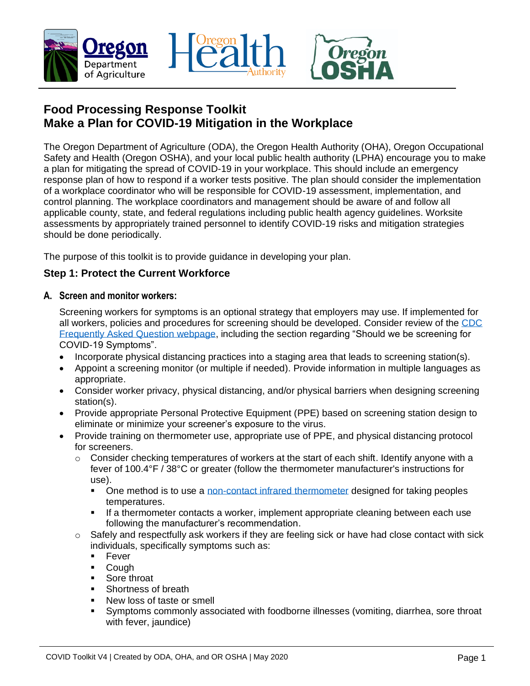



# **Food Processing Response Toolkit Make a Plan for COVID-19 Mitigation in the Workplace**

The Oregon Department of Agriculture (ODA), the Oregon Health Authority (OHA), Oregon Occupational Safety and Health (Oregon OSHA), and your local public health authority (LPHA) encourage you to make a plan for mitigating the spread of COVID-19 in your workplace. This should include an emergency response plan of how to respond if a worker tests positive. The plan should consider the implementation of a workplace coordinator who will be responsible for COVID-19 assessment, implementation, and control planning. The workplace coordinators and management should be aware of and follow all applicable county, state, and federal regulations including public health agency guidelines. Worksite assessments by appropriately trained personnel to identify COVID-19 risks and mitigation strategies should be done periodically.

The purpose of this toolkit is to provide guidance in developing your plan.

## **Step 1: Protect the Current Workforce**

#### **A. Screen and monitor workers:**

Screening workers for symptoms is an optional strategy that employers may use. If implemented for all workers, policies and procedures for screening should be developed. Consider review of the [CDC](https://www.cdc.gov/coronavirus/2019-ncov/community/general-business-faq.html)  [Frequently Asked Question](https://www.cdc.gov/coronavirus/2019-ncov/community/general-business-faq.html) webpage, including the section regarding "Should we be screening for COVID-19 Symptoms".

- Incorporate physical distancing practices into a staging area that leads to screening station(s).
- Appoint a screening monitor (or multiple if needed). Provide information in multiple languages as appropriate.
- Consider worker privacy, physical distancing, and/or physical barriers when designing screening station(s).
- Provide appropriate Personal Protective Equipment (PPE) based on screening station design to eliminate or minimize your screener's exposure to the virus.
- Provide training on thermometer use, appropriate use of PPE, and physical distancing protocol for screeners.
	- o Consider checking temperatures of workers at the start of each shift. Identify anyone with a fever of 100.4°F / 38°C or greater (follow the thermometer manufacturer's instructions for use).
		- One method is to use a [non-contact infrared thermometer](https://www.fda.gov/medical-devices/general-hospital-devices-and-supplies/non-contact-infrared-thermometers) designed for taking peoples temperatures.
		- If a thermometer contacts a worker, implement appropriate cleaning between each use following the manufacturer's recommendation.
	- $\circ$  Safely and respectfully ask workers if they are feeling sick or have had close contact with sick individuals, specifically symptoms such as:
		- Fever
		- **Cough**
		- Sore throat
		- Shortness of breath
		- New loss of taste or smell
		- Symptoms commonly associated with foodborne illnesses (vomiting, diarrhea, sore throat with fever, jaundice)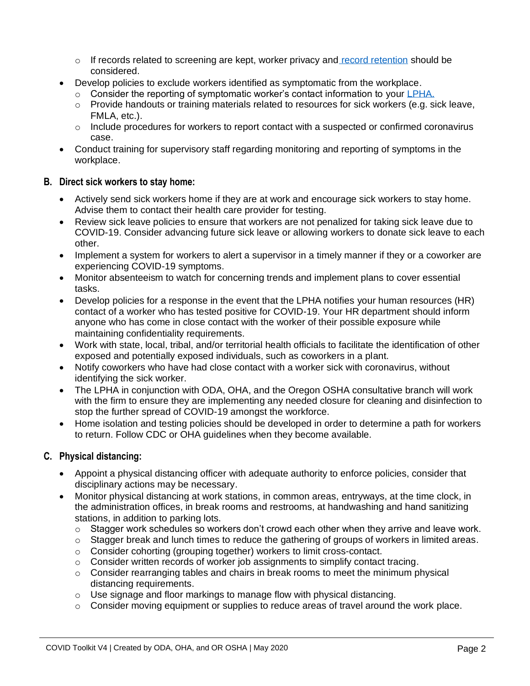- $\circ$  If records related to screening are kept, worker privacy and [record retention](https://www.cdc.gov/coronavirus/2019-ncov/community/guidance-manufacturing-workers-employers.html#_ftn1) should be considered.
- Develop policies to exclude workers identified as symptomatic from the workplace.
	- $\circ$  Consider the reporting of symptomatic worker's contact information to your [LPHA.](https://www.oregon.gov/oha/PH/DiseasesConditions/CommunicableDisease/ReportingCommunicableDisease/Documents/reportdisease.pdf)
	- $\circ$  Provide handouts or training materials related to resources for sick workers (e.g. sick leave, FMLA, etc.).
	- $\circ$  Include procedures for workers to report contact with a suspected or confirmed coronavirus case.
- Conduct training for supervisory staff regarding monitoring and reporting of symptoms in the workplace.

### **B. Direct sick workers to stay home:**

- Actively send sick workers home if they are at work and encourage sick workers to stay home. Advise them to contact their health care provider for testing.
- Review [sick leave policies](https://www.oregon.gov/boli/pages/coronavirus-and-workplace-laws.aspx) to ensure that workers are not penalized for taking sick leave due to COVID-19. Consider advancing future sick leave or allowing workers to donate sick leave to each other.
- Implement a system for workers to alert a supervisor in a timely manner if they or a coworker are experiencing COVID-19 symptoms.
- Monitor absenteeism to watch for concerning trends and implement plans to cover essential tasks.
- Develop policies for a response in the event that the LPHA notifies your human resources (HR) contact of a worker who has tested positive for COVID-19. Your HR department should inform anyone who has come in close contact with the worker of their possible exposure while maintaining confidentiality requirements.
- Work with state, local, tribal, and/or territorial health officials to facilitate the identification of other exposed and potentially exposed individuals, such as coworkers in a plant.
- Notify coworkers who have had close contact with a worker sick with coronavirus, without identifying the sick worker.
- The LPHA in conjunction with ODA, OHA, and the Oregon OSHA consultative branch will work with the firm to ensure they are implementing any needed closure for cleaning and disinfection to stop the further spread of COVID-19 amongst the workforce.
- Home isolation and testing policies should be developed in order to determine a path for workers to return. Follow CDC or OHA guidelines when they become available.

### **C. Physical distancing:**

- Appoint a physical distancing officer with adequate authority to enforce policies, consider that disciplinary actions may be necessary.
- Monitor physical distancing at work stations, in common areas, entryways, at the time clock, in the administration offices, in break rooms and restrooms, at handwashing and hand sanitizing stations, in addition to parking lots.
	- o Stagger work schedules so workers don't crowd each other when they arrive and leave work.
	- $\circ$  Stagger break and lunch times to reduce the gathering of groups of workers in limited areas.
	- o Consider cohorting (grouping together) workers to limit cross-contact.
	- $\circ$  Consider written records of worker job assignments to simplify contact tracing.
	- $\circ$  Consider rearranging tables and chairs in break rooms to meet the minimum physical distancing requirements.
	- o Use signage and floor markings to manage flow with physical distancing.
	- $\circ$  Consider moving equipment or supplies to reduce areas of travel around the work place.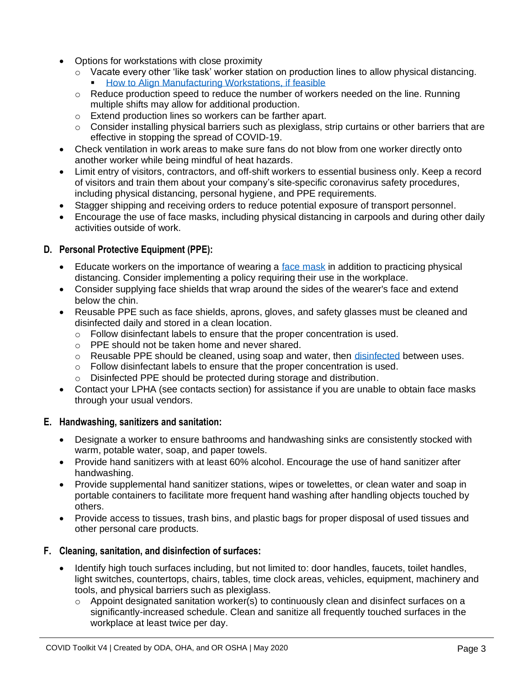- Options for workstations with close proximity
	- o Vacate every other 'like task' worker station on production lines to allow physical distancing. [How to Align Manufacturing Workstations, if feasible](https://www.cdc.gov/coronavirus/2019-ncov/images/community/manufacturing-workstations-alignment.png)
	- $\circ$  Reduce production speed to reduce the number of workers needed on the line. Running multiple shifts may allow for additional production.
	- o Extend production lines so workers can be farther apart.
	- $\circ$  Consider installing physical barriers such as plexiglass, strip curtains or other barriers that are effective in stopping the spread of COVID-19.
- Check ventilation in work areas to make sure fans do not blow from one worker directly onto another worker while being mindful of heat hazards.
- Limit entry of visitors, contractors, and off-shift workers to essential business only. Keep a record of visitors and train them about your company's site-specific coronavirus safety procedures, including physical distancing, personal hygiene, and PPE requirements.
- Stagger shipping and receiving orders to reduce potential exposure of transport personnel.
- Encourage the use of face masks, including physical distancing in carpools and during other daily activities outside of work.

### **D. Personal Protective Equipment (PPE):**

- Educate workers on the importance of wearing a [face mask](https://www.cdc.gov/coronavirus/2019-ncov/prevent-getting-sick/diy-cloth-face-coverings.html) in addition to practicing physical distancing. Consider implementing a policy requiring their use in the workplace.
- Consider supplying face shields that wrap around the sides of the wearer's face and extend below the chin.
- Reusable PPE such as face shields, aprons, gloves, and safety glasses must be cleaned and disinfected daily and stored in a clean location.
	- $\circ$  Follow disinfectant labels to ensure that the proper concentration is used.
	- o PPE should not be taken home and never shared.
	- $\circ$  Reusable PPE should be cleaned, using soap and water, then [disinfected](https://www.oregon.gov/ODA/shared/Documents/Publications/PesticidesPARC/DisinfectantsforEmergingPathogensCOVID-19.pdf) between uses.
	- o Follow disinfectant labels to ensure that the proper concentration is used.
	- o Disinfected PPE should be protected during storage and distribution.
- Contact your LPHA (see contacts section) for assistance if you are unable to obtain face masks through your usual vendors.

#### **E. Handwashing, sanitizers and sanitation:**

- Designate a worker to ensure bathrooms and handwashing sinks are consistently stocked with warm, potable water, soap, and paper towels.
- Provide hand sanitizers with at least 60% alcohol. Encourage the use of hand sanitizer after handwashing.
- Provide supplemental hand sanitizer stations, wipes or towelettes, or clean water and soap in portable containers to facilitate more frequent hand washing after handling objects touched by others.
- Provide access to tissues, trash bins, and plastic bags for proper disposal of used tissues and other personal care products.

#### **F. Cleaning, sanitation, and disinfection of surfaces:**

- Identify high touch surfaces including, but not limited to: door handles, faucets, toilet handles, light switches, countertops, chairs, tables, time clock areas, vehicles, equipment, machinery and tools, and physical barriers such as plexiglass.
	- o Appoint designated sanitation worker(s) to continuously clean and disinfect surfaces on a significantly-increased schedule. Clean and sanitize all frequently touched surfaces in the workplace at least twice per day.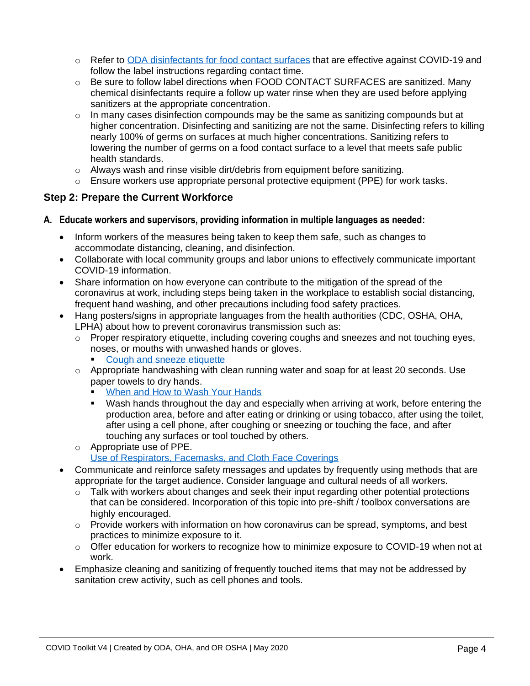- o Refer to [ODA disinfectants for food contact surfaces](https://www.oregon.gov/ODA/shared/Documents/Publications/PesticidesPARC/DisinfectantsforEmergingPathogensCOVID-19.pdf) that are effective against COVID-19 and follow the label instructions regarding contact time.
- o Be sure to follow label directions when FOOD CONTACT SURFACES are sanitized. Many chemical disinfectants require a follow up water rinse when they are used before applying sanitizers at the appropriate concentration.
- o In many cases disinfection compounds may be the same as sanitizing compounds but at higher concentration. Disinfecting and sanitizing are not the same. Disinfecting refers to killing nearly 100% of germs on surfaces at much higher concentrations. Sanitizing refers to lowering the number of germs on a food contact surface to a level that meets safe public health standards.
- $\circ$  Always wash and rinse visible dirt/debris from equipment before sanitizing.
- $\circ$  Ensure workers use appropriate personal protective equipment (PPE) for work tasks.

### **Step 2: Prepare the Current Workforce**

### **A. Educate workers and supervisors, providing information in multiple languages as needed:**

- Inform workers of the measures being taken to keep them safe, such as changes to accommodate distancing, cleaning, and disinfection.
- Collaborate with local community groups and labor unions to effectively communicate important COVID-19 information.
- Share information on how everyone can contribute to the mitigation of the spread of the coronavirus at work, including steps being taken in the workplace to establish social distancing, frequent hand washing, and other precautions including food safety practices.
- Hang posters/signs in appropriate languages from the health authorities (CDC, OSHA, OHA, LPHA) about how to prevent coronavirus transmission such as:
	- o Proper respiratory etiquette, including covering coughs and sneezes and not touching eyes, noses, or mouths with unwashed hands or gloves.
		- [Cough and sneeze etiquette](https://www.cdc.gov/healthywater/hygiene/etiquette/coughing_sneezing.html)
	- $\circ$  Appropriate handwashing with clean running water and soap for at least 20 seconds. Use paper towels to dry hands.
		- [When and How to Wash Your Hands](https://www.cdc.gov/handwashing/when-how-handwashing.html)
		- Wash hands throughout the day and especially when arriving at work, before entering the production area, before and after eating or drinking or using tobacco, after using the toilet, after using a cell phone, after coughing or sneezing or touching the face, and after touching any surfaces or tool touched by others.
	- o Appropriate use of PPE.
		- [Use of Respirators, Facemasks, and Cloth Face Coverings](https://www.fda.gov/food/food-safety-during-emergencies/use-respirators-facemasks-and-cloth-face-coverings-food-and-agriculture-sector-during-coronavirus)
- Communicate and reinforce safety messages and updates by frequently using methods that are appropriate for the target audience. Consider language and cultural needs of all workers.
	- $\circ$  Talk with workers about changes and seek their input regarding other potential protections that can be considered. Incorporation of this topic into pre-shift / toolbox conversations are highly encouraged.
	- o Provide workers with information on how coronavirus can be spread, symptoms, and best practices to minimize exposure to it.
	- $\circ$  Offer education for workers to recognize how to minimize exposure to COVID-19 when not at work.
- Emphasize cleaning and sanitizing of frequently touched items that may not be addressed by sanitation crew activity, such as cell phones and tools.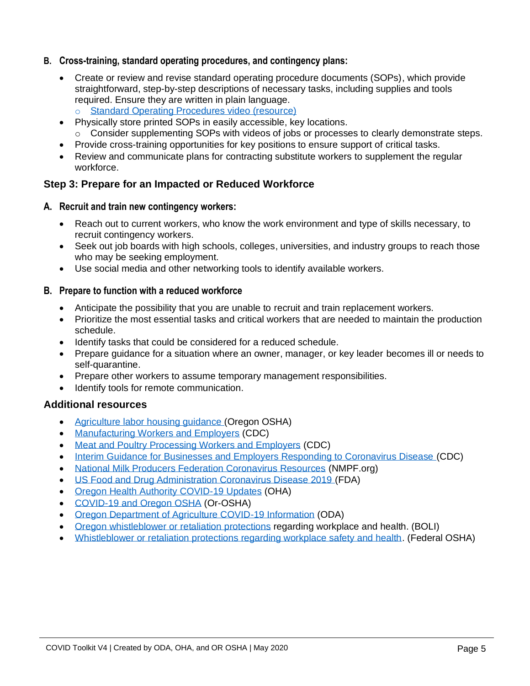- **B. Cross-training, standard operating procedures, and contingency plans:**
	- Create or review and revise standard operating procedure documents (SOPs), which provide straightforward, step-by-step descriptions of necessary tasks, including supplies and tools required. Ensure they are written in plain language.
		- o [Standard Operating Procedures video \(resource\)](https://www.youtube.com/watch?v=24QxF0H3l-s&feature=youtu.be)
	- Physically store printed SOPs in easily accessible, key locations.
		- o Consider supplementing SOPs with videos of jobs or processes to clearly demonstrate steps.
	- Provide cross-training opportunities for key positions to ensure support of critical tasks.
	- Review and communicate plans for contracting substitute workers to supplement the regular workforce.

### **Step 3: Prepare for an Impacted or Reduced Workforce**

#### **A. Recruit and train new contingency workers:**

- Reach out to current workers, who know the work environment and type of skills necessary, to recruit contingency workers.
- Seek out job boards with high schools, colleges, universities, and industry groups to reach those who may be seeking employment.
- Use social media and other networking tools to identify available workers.

#### **B. Prepare to function with a reduced workforce**

- Anticipate the possibility that you are unable to recruit and train replacement workers.
- Prioritize the most essential tasks and critical workers that are needed to maintain the production schedule.
- Identify tasks that could be considered for a reduced schedule.
- Prepare guidance for a situation where an owner, manager, or key leader becomes ill or needs to self-quarantine.
- Prepare other workers to assume temporary management responsibilities.
- Identify tools for remote communication.

### **Additional resources**

- [Agriculture labor housing guidance](https://osha.oregon.gov/covid19/Pages/covid-19-general.aspx) (Oregon OSHA)
- [Manufacturing Workers and Employers](https://www.cdc.gov/coronavirus/2019-ncov/community/guidance-manufacturing-workers-employers.html) (CDC)
- [Meat and Poultry Processing Workers and Employers](https://www.cdc.gov/coronavirus/2019-ncov/community/organizations/meat-poultry-processing-workers-employers.html) (CDC)
- [Interim Guidance for Businesses and Employers Responding to Coronavirus Disease](https://www.cdc.gov/coronavirus/2019-ncov/community/guidance-business-response.html) (CDC)
- [National Milk Producers Federation Coronavirus Resources](https://www.nmpf.org/coronavirus/) (NMPF.org)
- [US Food and Drug Administration Coronavirus Disease 2019](https://www.fda.gov/emergency-preparedness-and-response/counterterrorism-and-emerging-threats/coronavirus-disease-2019-covid-19) (FDA)
- [Oregon Health Authority COVID-19 Updates](https://govstatus.egov.com/OR-OHA-COVID-19) (OHA)
- [COVID-19 and Oregon OSHA](https://osha.oregon.gov/covid19/Pages/default.aspx) (Or-OSHA)
- [Oregon Department of Agriculture COVID-19 Information](https://www.oregon.gov/ODA/agriculture/Pages/COVID-19.aspx) (ODA)
- [Oregon whistleblower or retaliation protections](https://www.oregon.gov/boli/TA/Pages/FactSheetsFAQs/Whistleblowing.aspx) regarding workplace and health. (BOLI)
- [Whistleblower or retaliation protections regarding workplace safety and health.](https://www.whistleblowers.gov/) (Federal OSHA)